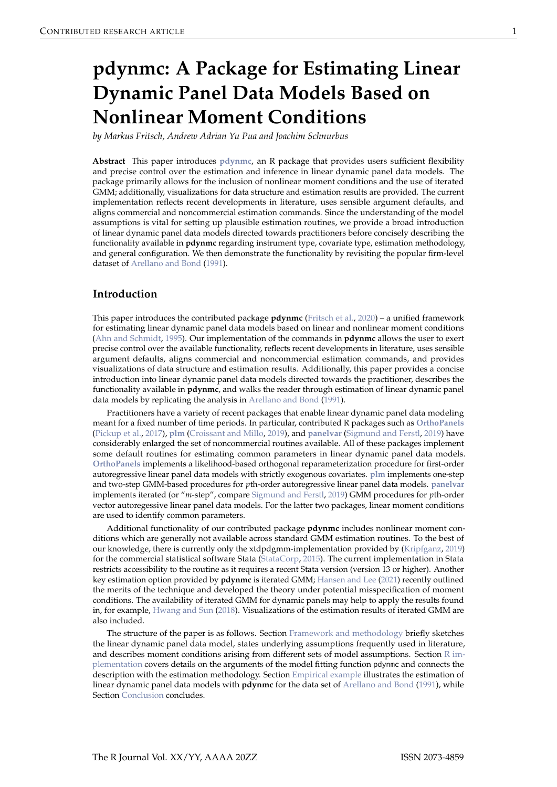# <span id="page-0-2"></span><span id="page-0-1"></span>**pdynmc: A Package for Estimating Linear Dynamic Panel Data Models Based on Nonlinear Moment Conditions**

*by Markus Fritsch, Andrew Adrian Yu Pua and Joachim Schnurbus*

**Abstract** This paper introduces **[pdynmc](https://CRAN.R-project.org/package=pdynmc)**, an R package that provides users sufficient flexibility and precise control over the estimation and inference in linear dynamic panel data models. The package primarily allows for the inclusion of nonlinear moment conditions and the use of iterated GMM; additionally, visualizations for data structure and estimation results are provided. The current implementation reflects recent developments in literature, uses sensible argument defaults, and aligns commercial and noncommercial estimation commands. Since the understanding of the model assumptions is vital for setting up plausible estimation routines, we provide a broad introduction of linear dynamic panel data models directed towards practitioners before concisely describing the functionality available in **pdynmc** regarding instrument type, covariate type, estimation methodology, and general configuration. We then demonstrate the functionality by revisiting the popular firm-level dataset of [Arellano and Bond](#page-11-0) [\(1991\)](#page-11-0).

# **Introduction**

This paper introduces the contributed package **pdynmc** [\(Fritsch et al.,](#page-12-0) [2020\)](#page-12-0) – a unified framework for estimating linear dynamic panel data models based on linear and nonlinear moment conditions [\(Ahn and Schmidt,](#page-11-1) [1995\)](#page-11-1). Our implementation of the commands in **pdynmc** allows the user to exert precise control over the available functionality, reflects recent developments in literature, uses sensible argument defaults, aligns commercial and noncommercial estimation commands, and provides visualizations of data structure and estimation results. Additionally, this paper provides a concise introduction into linear dynamic panel data models directed towards the practitioner, describes the functionality available in **pdynmc**, and walks the reader through estimation of linear dynamic panel data models by replicating the analysis in [Arellano and Bond](#page-11-0) [\(1991\)](#page-11-0).

Practitioners have a variety of recent packages that enable linear dynamic panel data modeling meant for a fixed number of time periods. In particular, contributed R packages such as **[OrthoPanels](https://CRAN.R-project.org/package=OrthoPanels)** [\(Pickup et al.,](#page-12-1) [2017\)](#page-12-1), **[plm](https://CRAN.R-project.org/package=plm)** [\(Croissant and Millo,](#page-11-2) [2019\)](#page-11-2), and **[panelvar](https://CRAN.R-project.org/package=panelvar)** [\(Sigmund and Ferstl,](#page-13-0) [2019\)](#page-13-0) have considerably enlarged the set of noncommercial routines available. All of these packages implement some default routines for estimating common parameters in linear dynamic panel data models. **[OrthoPanels](https://CRAN.R-project.org/package=OrthoPanels)** implements a likelihood-based orthogonal reparameterization procedure for first-order autoregressive linear panel data models with strictly exogenous covariates. **[plm](https://CRAN.R-project.org/package=plm)** implements one-step and two-step GMM-based procedures for *p*th-order autoregressive linear panel data models. **[panelvar](https://CRAN.R-project.org/package=panelvar)** implements iterated (or "*m*-step", compare [Sigmund and Ferstl,](#page-13-0) [2019\)](#page-13-0) GMM procedures for *p*th-order vector autoregessive linear panel data models. For the latter two packages, linear moment conditions are used to identify common parameters.

Additional functionality of our contributed package **pdynmc** includes nonlinear moment conditions which are generally not available across standard GMM estimation routines. To the best of our knowledge, there is currently only the xtdpdgmm-implementation provided by [\(Kripfganz,](#page-12-2) [2019\)](#page-12-2) for the commercial statistical software Stata [\(StataCorp,](#page-13-1) [2015\)](#page-13-1). The current implementation in Stata restricts accessibility to the routine as it requires a recent Stata version (version 13 or higher). Another key estimation option provided by **pdynmc** is iterated GMM; [Hansen and Lee](#page-12-3) [\(2021\)](#page-12-3) recently outlined the merits of the technique and developed the theory under potential misspecification of moment conditions. The availability of iterated GMM for dynamic panels may help to apply the results found in, for example, [Hwang and Sun](#page-12-4) [\(2018\)](#page-12-4). Visualizations of the estimation results of iterated GMM are also included.

<span id="page-0-0"></span>The structure of the paper is as follows. Section [Framework and methodology](#page-0-0) briefly sketches the linear dynamic panel data model, states underlying assumptions frequently used in literature, and describes moment conditions arising from different sets of model assumptions. Section [R im](#page-3-0)[plementation](#page-3-0) covers details on the arguments of the model fitting function pdynmc and connects the description with the estimation methodology. Section [Empirical example](#page-5-0) illustrates the estimation of linear dynamic panel data models with **pdynmc** for the data set of [Arellano and Bond](#page-11-0) [\(1991\)](#page-11-0), while Section [Conclusion](#page-10-0) concludes.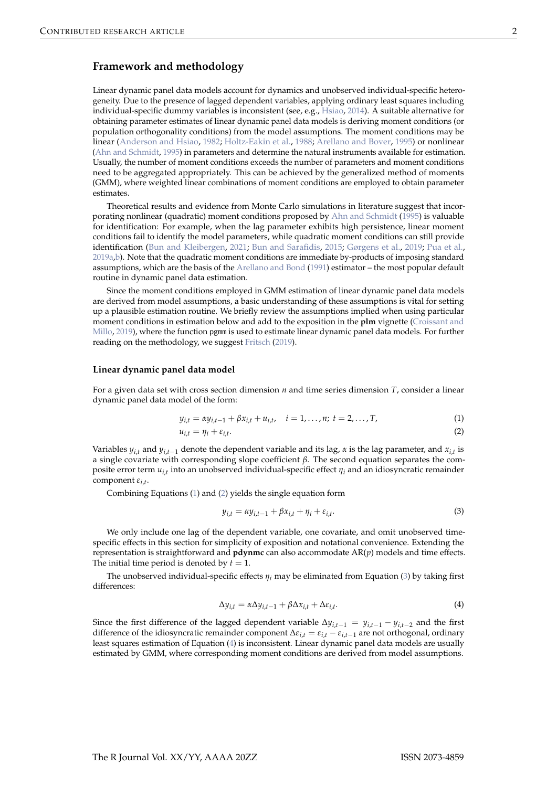## <span id="page-1-4"></span>**Framework and methodology**

Linear dynamic panel data models account for dynamics and unobserved individual-specific heterogeneity. Due to the presence of lagged dependent variables, applying ordinary least squares including individual-specific dummy variables is inconsistent (see, e.g., [Hsiao,](#page-12-5) [2014\)](#page-12-5). A suitable alternative for obtaining parameter estimates of linear dynamic panel data models is deriving moment conditions (or population orthogonality conditions) from the model assumptions. The moment conditions may be linear [\(Anderson and Hsiao,](#page-11-3) [1982;](#page-11-3) [Holtz-Eakin et al.,](#page-12-6) [1988;](#page-12-6) [Arellano and Bover,](#page-11-4) [1995\)](#page-11-4) or nonlinear [\(Ahn and Schmidt,](#page-11-1) [1995\)](#page-11-1) in parameters and determine the natural instruments available for estimation. Usually, the number of moment conditions exceeds the number of parameters and moment conditions need to be aggregated appropriately. This can be achieved by the generalized method of moments (GMM), where weighted linear combinations of moment conditions are employed to obtain parameter estimates.

Theoretical results and evidence from Monte Carlo simulations in literature suggest that incorporating nonlinear (quadratic) moment conditions proposed by [Ahn and Schmidt](#page-11-1) [\(1995\)](#page-11-1) is valuable for identification: For example, when the lag parameter exhibits high persistence, linear moment conditions fail to identify the model parameters, while quadratic moment conditions can still provide identification [\(Bun and Kleibergen,](#page-11-5) [2021;](#page-11-5) [Bun and Sarafidis,](#page-11-6) [2015;](#page-11-6) [Gørgens et al.,](#page-12-7) [2019;](#page-12-7) [Pua et al.,](#page-12-8) [2019a](#page-12-8)[,b\)](#page-12-9). Note that the quadratic moment conditions are immediate by-products of imposing standard assumptions, which are the basis of the [Arellano and Bond](#page-11-0) [\(1991\)](#page-11-0) estimator – the most popular default routine in dynamic panel data estimation.

Since the moment conditions employed in GMM estimation of linear dynamic panel data models are derived from model assumptions, a basic understanding of these assumptions is vital for setting up a plausible estimation routine. We briefly review the assumptions implied when using particular moment conditions in estimation below and add to the exposition in the **plm** vignette [\(Croissant and](#page-11-2) [Millo,](#page-11-2) [2019\)](#page-11-2), where the function pgmm is used to estimate linear dynamic panel data models. For further reading on the methodology, we suggest [Fritsch](#page-11-7) [\(2019\)](#page-11-7).

#### **Linear dynamic panel data model**

For a given data set with cross section dimension *n* and time series dimension *T*, consider a linear dynamic panel data model of the form:

$$
y_{i,t} = \alpha y_{i,t-1} + \beta x_{i,t} + u_{i,t}, \quad i = 1, \dots, n; \ t = 2, \dots, T,
$$
 (1)

$$
u_{i,t} = \eta_i + \varepsilon_{i,t}.\tag{2}
$$

Variables  $y_{i,t}$  and  $y_{i,t-1}$  denote the dependent variable and its lag,  $\alpha$  is the lag parameter, and  $x_{i,t}$  is a single covariate with corresponding slope coefficient *β*. The second equation separates the composite error term *ui*,*<sup>t</sup>* into an unobserved individual-specific effect *η<sup>i</sup>* and an idiosyncratic remainder component *εi*,*<sup>t</sup>* .

Combining Equations [\(1\)](#page-1-0) and [\(2\)](#page-1-1) yields the single equation form

<span id="page-1-2"></span><span id="page-1-1"></span><span id="page-1-0"></span>
$$
y_{i,t} = \alpha y_{i,t-1} + \beta x_{i,t} + \eta_i + \varepsilon_{i,t}.
$$
\n(3)

We only include one lag of the dependent variable, one covariate, and omit unobserved timespecific effects in this section for simplicity of exposition and notational convenience. Extending the representation is straightforward and **pdynmc** can also accommodate AR(*p*) models and time effects. The initial time period is denoted by  $t = 1$ .

The unobserved individual-specific effects *η<sup>i</sup>* may be eliminated from Equation [\(3\)](#page-1-2) by taking first differences:

<span id="page-1-3"></span>
$$
\Delta y_{i,t} = \alpha \Delta y_{i,t-1} + \beta \Delta x_{i,t} + \Delta \varepsilon_{i,t}.
$$
\n(4)

Since the first difference of the lagged dependent variable  $\Delta y_{i,t-1} = y_{i,t-1} - y_{i,t-2}$  and the first difference of the idiosyncratic remainder component ∆*εi*,*<sup>t</sup>* = *εi*,*<sup>t</sup>* − *εi*,*t*−<sup>1</sup> are not orthogonal, ordinary least squares estimation of Equation [\(4\)](#page-1-3) is inconsistent. Linear dynamic panel data models are usually estimated by GMM, where corresponding moment conditions are derived from model assumptions.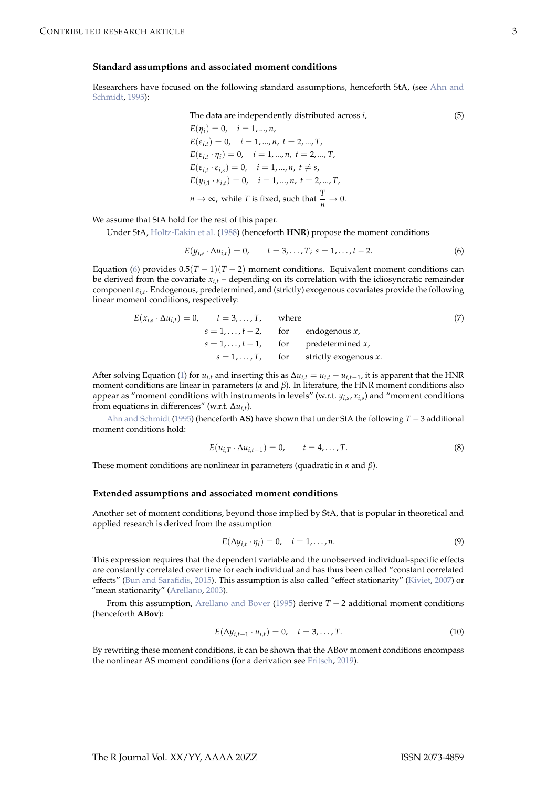#### <span id="page-2-4"></span>**Standard assumptions and associated moment conditions**

Researchers have focused on the following standard assumptions, henceforth StA, (see [Ahn and](#page-11-1) [Schmidt,](#page-11-1) [1995\)](#page-11-1):

The data are independently distributed across *i*, (5)

 $E(\eta_i) = 0, \quad i = 1, ..., n,$  $E(\varepsilon_{i,t}) = 0, \quad i = 1, ..., n, t = 2, ..., T$  $E(\varepsilon_{i,t} \cdot \eta_i) = 0, \quad i = 1, ..., n, t = 2, ..., T$  $E(\varepsilon_{i,t} \cdot \varepsilon_{i,s}) = 0, \quad i = 1, ..., n, t \neq s,$  $E(y_{i,1} \cdot \varepsilon_{i,t}) = 0, \quad i = 1, ..., n, t = 2, ..., T$  $n \to \infty$ , while *T* is fixed, such that  $\frac{T}{n} \to 0$ .

We assume that StA hold for the rest of this paper.

Under StA, [Holtz-Eakin et al.](#page-12-6) [\(1988\)](#page-12-6) (henceforth **HNR**) propose the moment conditions

<span id="page-2-0"></span>
$$
E(y_{i,s} \cdot \Delta u_{i,t}) = 0, \qquad t = 3, ..., T; \ s = 1, ..., t - 2.
$$
 (6)

Equation [\(6\)](#page-2-0) provides  $0.5(T - 1)(T - 2)$  moment conditions. Equivalent moment conditions can be derived from the covariate  $x_{i,t}$  – depending on its correlation with the idiosyncratic remainder component *εi*,*<sup>t</sup>* . Endogenous, predetermined, and (strictly) exogenous covariates provide the following linear moment conditions, respectively:

$$
E(x_{i,s} \cdot \Delta u_{i,t}) = 0, \t t = 3,...,T, \t wheres = 1,...,t-2, for endogenous x,s = 1,...,t-1, for predetermined x,s = 1,...,T, for strictly exogenous x.
$$

After solving Equation [\(1\)](#page-1-0) for  $u_{i,t}$  and inserting this as  $\Delta u_{i,t} = u_{i,t} - u_{i,t-1}$ , it is apparent that the HNR moment conditions are linear in parameters (*α* and *β*). In literature, the HNR moment conditions also appear as "moment conditions with instruments in levels" (w.r.t. *yi*,*<sup>s</sup>* , *xi*,*<sup>s</sup>* ) and "moment conditions from equations in differences" (w.r.t. ∆*ui*,*<sup>t</sup>* ).

[Ahn and Schmidt](#page-11-1) [\(1995\)](#page-11-1) (henceforth **AS**) have shown that under StA the following *T* − 3 additional moment conditions hold:

<span id="page-2-2"></span>
$$
E(u_{i,T} \cdot \Delta u_{i,t-1}) = 0, \qquad t = 4, ..., T.
$$
 (8)

These moment conditions are nonlinear in parameters (quadratic in *α* and *β*).

#### **Extended assumptions and associated moment conditions**

Another set of moment conditions, beyond those implied by StA, that is popular in theoretical and applied research is derived from the assumption

<span id="page-2-3"></span>
$$
E(\Delta y_{i,t} \cdot \eta_i) = 0, \quad i = 1, \dots, n. \tag{9}
$$

This expression requires that the dependent variable and the unobserved individual-specific effects are constantly correlated over time for each individual and has thus been called "constant correlated effects" [\(Bun and Sarafidis,](#page-11-6) [2015\)](#page-11-6). This assumption is also called "effect stationarity" [\(Kiviet,](#page-12-10) [2007\)](#page-12-10) or "mean stationarity" [\(Arellano,](#page-11-8) [2003\)](#page-11-8).

From this assumption, [Arellano and Bover](#page-11-4) [\(1995\)](#page-11-4) derive *T* − 2 additional moment conditions (henceforth **ABov**):

<span id="page-2-1"></span>
$$
E(\Delta y_{i,t-1} \cdot u_{i,t}) = 0, \quad t = 3,...,T.
$$
 (10)

By rewriting these moment conditions, it can be shown that the ABov moment conditions encompass the nonlinear AS moment conditions (for a derivation see [Fritsch,](#page-11-7) [2019\)](#page-11-7).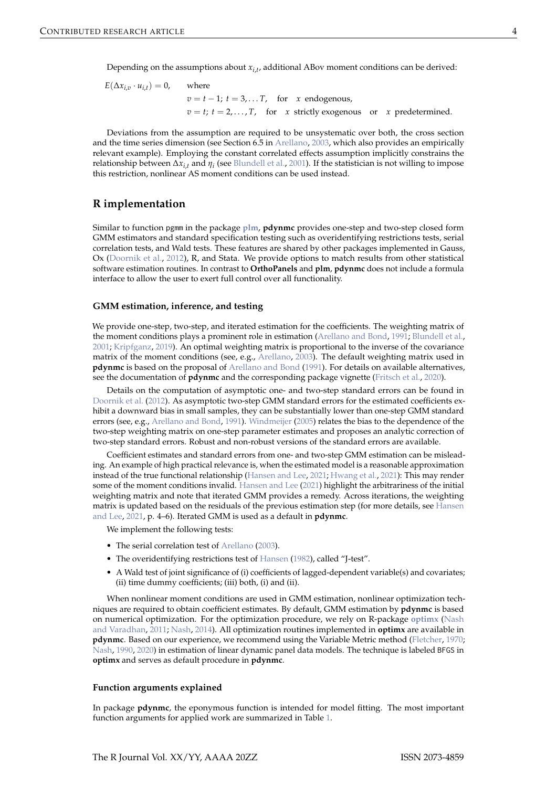<span id="page-3-1"></span>Depending on the assumptions about *xi*,*<sup>t</sup>* , additional ABov moment conditions can be derived:

$$
E(\Delta x_{i,v} \cdot u_{i,t}) = 0, \qquad \text{where}
$$
\n
$$
v = t - 1; \ t = 3, \dots, T, \quad \text{for} \quad x \text{ endogenous},
$$
\n
$$
v = t; \ t = 2, \dots, T, \quad \text{for} \quad x \text{ strictly exogenous} \quad \text{or} \quad x \text{ predetermined}.
$$

Deviations from the assumption are required to be unsystematic over both, the cross section and the time series dimension (see Section 6.5 in [Arellano,](#page-11-8) [2003,](#page-11-8) which also provides an empirically relevant example). Employing the constant correlated effects assumption implicitly constrains the relationship between ∆*xi*,*<sup>t</sup>* and *η<sup>i</sup>* (see [Blundell et al.,](#page-11-9) [2001\)](#page-11-9). If the statistician is not willing to impose this restriction, nonlinear AS moment conditions can be used instead.

# <span id="page-3-0"></span>**R implementation**

Similar to function pgmm in the package **[plm](https://CRAN.R-project.org/package=plm)**, **pdynmc** provides one-step and two-step closed form GMM estimators and standard specification testing such as overidentifying restrictions tests, serial correlation tests, and Wald tests. These features are shared by other packages implemented in Gauss, Ox [\(Doornik et al.,](#page-11-10) [2012\)](#page-11-10), R, and Stata. We provide options to match results from other statistical software estimation routines. In contrast to **OrthoPanels** and **plm**, **pdynmc** does not include a formula interface to allow the user to exert full control over all functionality.

## **GMM estimation, inference, and testing**

We provide one-step, two-step, and iterated estimation for the coefficients. The weighting matrix of the moment conditions plays a prominent role in estimation [\(Arellano and Bond,](#page-11-0) [1991;](#page-11-0) [Blundell et al.,](#page-11-9) [2001;](#page-11-9) [Kripfganz,](#page-12-2) [2019\)](#page-12-2). An optimal weighting matrix is proportional to the inverse of the covariance matrix of the moment conditions (see, e.g., [Arellano,](#page-11-8) [2003\)](#page-11-8). The default weighting matrix used in **pdynmc** is based on the proposal of [Arellano and Bond](#page-11-0) [\(1991\)](#page-11-0). For details on available alternatives, see the documentation of **pdynmc** and the corresponding package vignette [\(Fritsch et al.,](#page-12-0) [2020\)](#page-12-0).

Details on the computation of asymptotic one- and two-step standard errors can be found in [Doornik et al.](#page-11-10) [\(2012\)](#page-11-10). As asymptotic two-step GMM standard errors for the estimated coefficients exhibit a downward bias in small samples, they can be substantially lower than one-step GMM standard errors (see, e.g., [Arellano and Bond,](#page-11-0) [1991\)](#page-11-0). [Windmeijer](#page-13-2) [\(2005\)](#page-13-2) relates the bias to the dependence of the two-step weighting matrix on one-step parameter estimates and proposes an analytic correction of two-step standard errors. Robust and non-robust versions of the standard errors are available.

Coefficient estimates and standard errors from one- and two-step GMM estimation can be misleading. An example of high practical relevance is, when the estimated model is a reasonable approximation instead of the true functional relationship [\(Hansen and Lee,](#page-12-3) [2021;](#page-12-3) [Hwang et al.,](#page-12-11) [2021\)](#page-12-11): This may render some of the moment conditions invalid. [Hansen and Lee](#page-12-3) [\(2021\)](#page-12-3) highlight the arbitrariness of the initial weighting matrix and note that iterated GMM provides a remedy. Across iterations, the weighting matrix is updated based on the residuals of the previous estimation step (for more details, see [Hansen](#page-12-3) [and Lee,](#page-12-3) [2021,](#page-12-3) p. 4–6). Iterated GMM is used as a default in **pdynmc**.

We implement the following tests:

- The serial correlation test of [Arellano](#page-11-8) [\(2003\)](#page-11-8).
- The overidentifying restrictions test of [Hansen](#page-12-12) [\(1982\)](#page-12-12), called "J-test".
- A Wald test of joint significance of (i) coefficients of lagged-dependent variable(s) and covariates; (ii) time dummy coefficients; (iii) both, (i) and (ii).

When nonlinear moment conditions are used in GMM estimation, nonlinear optimization techniques are required to obtain coefficient estimates. By default, GMM estimation by **pdynmc** is based on numerical optimization. For the optimization procedure, we rely on R-package **[optimx](https://CRAN.R-project.org/package=optimx)** [\(Nash](#page-12-13) [and Varadhan,](#page-12-13) [2011;](#page-12-13) [Nash,](#page-12-14) [2014\)](#page-12-14). All optimization routines implemented in **optimx** are available in **pdynmc**. Based on our experience, we recommend using the Variable Metric method [\(Fletcher,](#page-11-11) [1970;](#page-11-11) [Nash,](#page-12-15) [1990,](#page-12-15) [2020\)](#page-12-16) in estimation of linear dynamic panel data models. The technique is labeled BFGS in **optimx** and serves as default procedure in **pdynmc**.

#### **Function arguments explained**

In package **pdynmc**, the eponymous function is intended for model fitting. The most important function arguments for applied work are summarized in Table [1.](#page-4-0)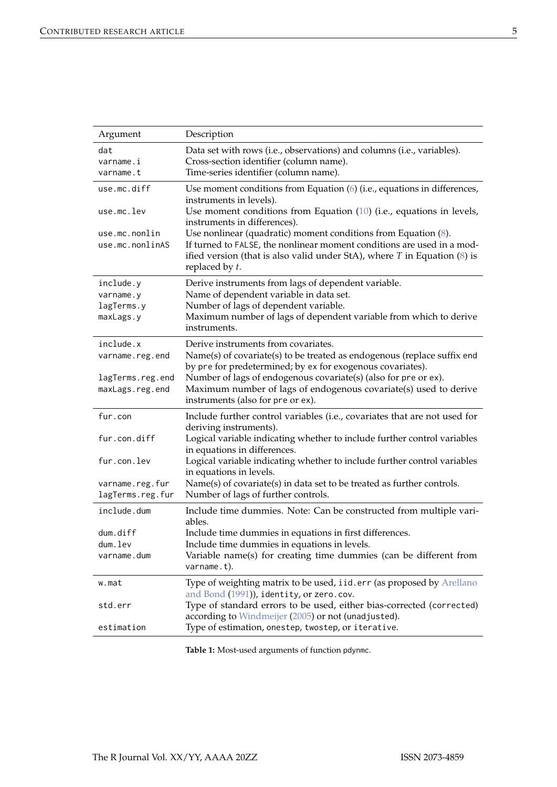<span id="page-4-1"></span><span id="page-4-0"></span>

| Argument                            | Description                                                                                                                                                                                                                                    |
|-------------------------------------|------------------------------------------------------------------------------------------------------------------------------------------------------------------------------------------------------------------------------------------------|
| dat<br>varname.i<br>varname.t       | Data set with rows (i.e., observations) and columns (i.e., variables).<br>Cross-section identifier (column name).<br>Time-series identifier (column name).                                                                                     |
| use.mc.diff                         | Use moment conditions from Equation (6) (i.e., equations in differences,<br>instruments in levels).                                                                                                                                            |
| use.mc.lev                          | Use moment conditions from Equation (10) (i.e., equations in levels,<br>instruments in differences).                                                                                                                                           |
| use.mc.nonlin<br>use.mc.nonlinAS    | Use nonlinear (quadratic) moment conditions from Equation $(8)$ .<br>If turned to FALSE, the nonlinear moment conditions are used in a mod-<br>ified version (that is also valid under StA), where $T$ in Equation (8) is<br>replaced by $t$ . |
| include.y<br>varname.y              | Derive instruments from lags of dependent variable.<br>Name of dependent variable in data set.                                                                                                                                                 |
| lagTerms.y                          | Number of lags of dependent variable.                                                                                                                                                                                                          |
| maxLags.y                           | Maximum number of lags of dependent variable from which to derive<br>instruments.                                                                                                                                                              |
| include.x                           | Derive instruments from covariates.                                                                                                                                                                                                            |
| varname.reg.end                     | Name(s) of covariate(s) to be treated as endogenous (replace suffix end<br>by pre for predetermined; by ex for exogenous covariates).                                                                                                          |
| lagTerms.reg.end<br>maxLags.reg.end | Number of lags of endogenous covariate(s) (also for pre or ex).<br>Maximum number of lags of endogenous covariate(s) used to derive                                                                                                            |
|                                     | instruments (also for pre or ex).                                                                                                                                                                                                              |
| fur.con                             | Include further control variables (i.e., covariates that are not used for<br>deriving instruments).                                                                                                                                            |
| fur.con.diff                        | Logical variable indicating whether to include further control variables<br>in equations in differences.                                                                                                                                       |
| fur.con.lev                         | Logical variable indicating whether to include further control variables<br>in equations in levels.                                                                                                                                            |
| varname.reg.fur<br>lagTerms.reg.fur | Name(s) of covariate(s) in data set to be treated as further controls.<br>Number of lags of further controls.                                                                                                                                  |
| include.dum                         | Include time dummies. Note: Can be constructed from multiple vari-<br>ables.                                                                                                                                                                   |
| dum.diff                            | Include time dummies in equations in first differences.                                                                                                                                                                                        |
| dum.lev                             | Include time dummies in equations in levels.                                                                                                                                                                                                   |
| varname.dum                         | Variable name(s) for creating time dummies (can be different from<br>varname.t).                                                                                                                                                               |
| w.mat                               | Type of weighting matrix to be used, iid.err (as proposed by Arellano<br>and Bond (1991)), identity, or zero.cov.                                                                                                                              |
| std.err                             | Type of standard errors to be used, either bias-corrected (corrected)<br>according to Windmeijer (2005) or not (unadjusted).                                                                                                                   |
| estimation                          | Type of estimation, onestep, twostep, or iterative.                                                                                                                                                                                            |

**Table 1:** Most-used arguments of function pdynmc.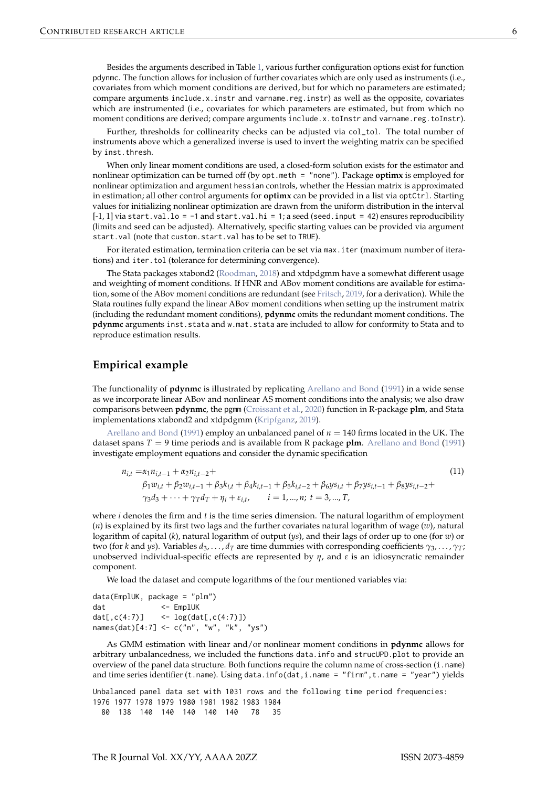<span id="page-5-2"></span>Besides the arguments described in Table [1,](#page-4-0) various further configuration options exist for function pdynmc. The function allows for inclusion of further covariates which are only used as instruments (i.e., covariates from which moment conditions are derived, but for which no parameters are estimated; compare arguments include.x.instr and varname.reg.instr) as well as the opposite, covariates which are instrumented (i.e., covariates for which parameters are estimated, but from which no moment conditions are derived; compare arguments include.x.toInstr and varname.reg.toInstr).

Further, thresholds for collinearity checks can be adjusted via col\_tol. The total number of instruments above which a generalized inverse is used to invert the weighting matrix can be specified by inst.thresh.

When only linear moment conditions are used, a closed-form solution exists for the estimator and nonlinear optimization can be turned off (by opt.meth = "none"). Package **optimx** is employed for nonlinear optimization and argument hessian controls, whether the Hessian matrix is approximated in estimation; all other control arguments for **optimx** can be provided in a list via optCtrl. Starting values for initializing nonlinear optimization are drawn from the uniform distribution in the interval  $[-1, 1]$  via start.val.lo = -1 and start.val.hi = 1; a seed (seed.input = 42) ensures reproducibility (limits and seed can be adjusted). Alternatively, specific starting values can be provided via argument start.val (note that custom.start.val has to be set to TRUE).

For iterated estimation, termination criteria can be set via max.iter (maximum number of iterations) and iter.tol (tolerance for determining convergence).

The Stata packages xtabond2 [\(Roodman,](#page-12-17) [2018\)](#page-12-17) and xtdpdgmm have a somewhat different usage and weighting of moment conditions. If HNR and ABov moment conditions are available for estimation, some of the ABov moment conditions are redundant (see [Fritsch,](#page-11-7) [2019,](#page-11-7) for a derivation). While the Stata routines fully expand the linear ABov moment conditions when setting up the instrument matrix (including the redundant moment conditions), **pdynmc** omits the redundant moment conditions. The **pdynmc** arguments inst.stata and w.mat.stata are included to allow for conformity to Stata and to reproduce estimation results.

# <span id="page-5-0"></span>**Empirical example**

The functionality of **pdynmc** is illustrated by replicating [Arellano and Bond](#page-11-0) [\(1991\)](#page-11-0) in a wide sense as we incorporate linear ABov and nonlinear AS moment conditions into the analysis; we also draw comparisons between **pdynmc**, the pgmm [\(Croissant et al.,](#page-11-12) [2020\)](#page-11-12) function in R-package **plm**, and Stata implementations xtabond2 and xtdpdgmm [\(Kripfganz,](#page-12-2) [2019\)](#page-12-2).

[Arellano and Bond](#page-11-0) [\(1991\)](#page-11-0) employ an unbalanced panel of  $n = 140$  firms located in the UK. The dataset spans *T* = 9 time periods and is available from R package **plm**. [Arellano and Bond](#page-11-0) [\(1991\)](#page-11-0) investigate employment equations and consider the dynamic specification

<span id="page-5-1"></span>
$$
n_{i,t} = \alpha_1 n_{i,t-1} + \alpha_2 n_{i,t-2} +
$$
  
\n
$$
\beta_1 w_{i,t} + \beta_2 w_{i,t-1} + \beta_3 k_{i,t} + \beta_4 k_{i,t-1} + \beta_5 k_{i,t-2} + \beta_6 y s_{i,t} + \beta_7 y s_{i,t-1} + \beta_8 y s_{i,t-2} +
$$
  
\n
$$
\gamma_3 d_3 + \dots + \gamma_T d_T + \eta_i + \varepsilon_{i,t}, \qquad i = 1, ..., n; t = 3, ..., T,
$$
\n(11)

where *i* denotes the firm and *t* is the time series dimension. The natural logarithm of employment (*n*) is explained by its first two lags and the further covariates natural logarithm of wage (*w*), natural logarithm of capital (*k*), natural logarithm of output (*ys*), and their lags of order up to one (for *w*) or two (for *k* and *ys*). Variables *d*3, . . . , *d<sup>T</sup>* are time dummies with corresponding coefficients *γ*3, . . . , *γT*; unobserved individual-specific effects are represented by *η*, and *ε* is an idiosyncratic remainder component.

We load the dataset and compute logarithms of the four mentioned variables via:

data(EmplUK, package = "plm") dat <- EmplUK dat $[,c(4:7)]$  <-  $log(data[,c(4:7)]$ names(dat)[4:7] <- c("n", "w", "k", "ys")

As GMM estimation with linear and/or nonlinear moment conditions in **pdynmc** allows for arbitrary unbalancedness, we included the functions data.info and strucUPD.plot to provide an overview of the panel data structure. Both functions require the column name of cross-section (i.name) and time series identifier (t.name). Using data.info(dat,i.name = "firm",t.name = "year") yields

Unbalanced panel data set with 1031 rows and the following time period frequencies: 1976 1977 1978 1979 1980 1981 1982 1983 1984 80 138 140 140 140 140 140 78 35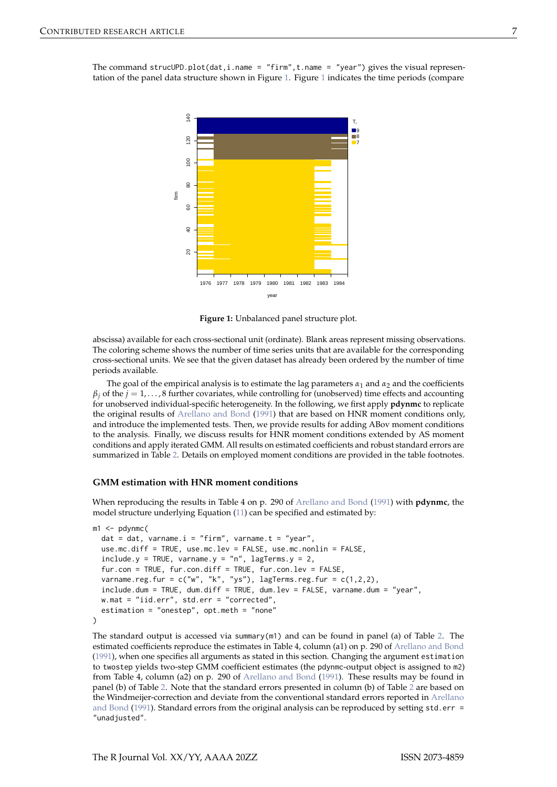<span id="page-6-2"></span><span id="page-6-0"></span>

**Figure 1:** Unbalanced panel structure plot.

abscissa) available for each cross-sectional unit (ordinate). Blank areas represent missing observations. The coloring scheme shows the number of time series units that are available for the corresponding cross-sectional units. We see that the given dataset has already been ordered by the number of time periods available.

The goal of the empirical analysis is to estimate the lag parameters  $\alpha_1$  and  $\alpha_2$  and the coefficients  $\beta$ <sup>*j*</sup> of the *j* = 1, . . . , 8 further covariates, while controlling for (unobserved) time effects and accounting for unobserved individual-specific heterogeneity. In the following, we first apply **pdynmc** to replicate the original results of [Arellano and Bond](#page-11-0) [\(1991\)](#page-11-0) that are based on HNR moment conditions only, and introduce the implemented tests. Then, we provide results for adding ABov moment conditions to the analysis. Finally, we discuss results for HNR moment conditions extended by AS moment conditions and apply iterated GMM. All results on estimated coefficients and robust standard errors are summarized in Table [2.](#page-7-0) Details on employed moment conditions are provided in the table footnotes.

## <span id="page-6-1"></span>**GMM estimation with HNR moment conditions**

When reproducing the results in Table 4 on p. 290 of [Arellano and Bond](#page-11-0) [\(1991\)](#page-11-0) with **pdynmc**, the model structure underlying Equation [\(11\)](#page-5-1) can be specified and estimated by:

```
m1 < - pdynmc(
 dat = dat, varname.i = "firm", varname.t = "year",
 use.mc.diff = TRUE, use.mc.lev = FALSE, use.mc.nonlin = FALSE,
 include.y = TRUE, varname.y = "n", lagTerms.y = 2,
 fur.con = TRUE, fur.con.diff = TRUE, fur.con.lev = FALSE,
 varname.reg.fur = c("w", "k", "ys"), lagTerms.reg.fur = <math>c(1,2,2)</math>,include.dum = TRUE, dum.diff = TRUE, dum.lev = FALSE, varname.dum = "year",
 w.mat = "iid.err", std.err = "corrected",
 estimation = "onestep", opt.meth = "none"
\lambda
```
The standard output is accessed via summary(m1) and can be found in panel (a) of Table [2.](#page-7-0) The estimated coefficients reproduce the estimates in Table 4, column (a1) on p. 290 of [Arellano and Bond](#page-11-0) [\(1991\)](#page-11-0), when one specifies all arguments as stated in this section. Changing the argument estimation to twostep yields two-step GMM coefficient estimates (the pdynmc-output object is assigned to m2) from Table 4, column (a2) on p. 290 of [Arellano and Bond](#page-11-0) [\(1991\)](#page-11-0). These results may be found in panel (b) of Table [2.](#page-7-0) Note that the standard errors presented in column (b) of Table [2](#page-7-0) are based on the Windmeijer-correction and deviate from the conventional standard errors reported in [Arellano](#page-11-0) [and Bond](#page-11-0) [\(1991\)](#page-11-0). Standard errors from the original analysis can be reproduced by setting std.err = "unadjusted".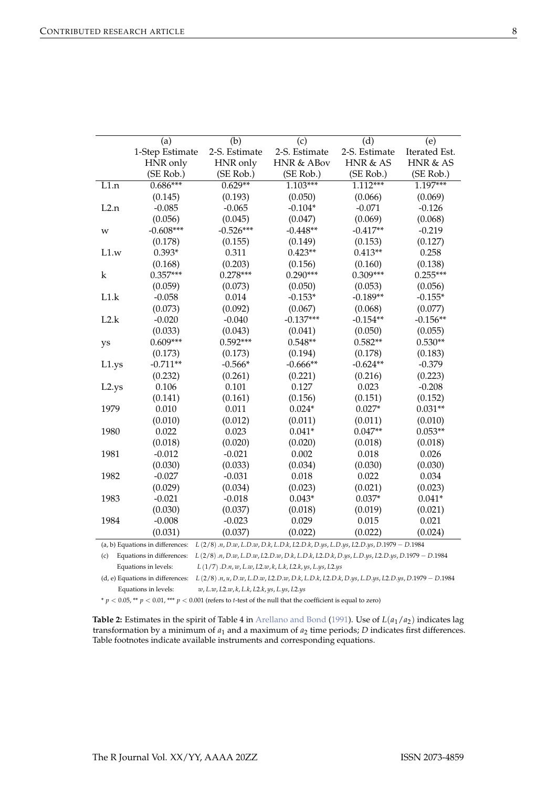<span id="page-7-1"></span><span id="page-7-0"></span>

|                   | (a)             | (b)           | (c)                   | $\overline{d}$ | (e)           |
|-------------------|-----------------|---------------|-----------------------|----------------|---------------|
|                   | 1-Step Estimate | 2-S. Estimate | 2-S. Estimate         | 2-S. Estimate  | Iterated Est. |
|                   | HNR only        | HNR only      | <b>HNR &amp; ABov</b> | HNR & AS       | HNR & AS      |
|                   | (SE Rob.)       | (SE Rob.)     | (SE Rob.)             | (SE Rob.)      | (SE Rob.)     |
| $\overline{L1.n}$ | $0.686***$      | $0.629**$     | $1.103***$            | $1.112***$     | $1.197***$    |
|                   | (0.145)         | (0.193)       | (0.050)               | (0.066)        | (0.069)       |
| L2.n              | $-0.085$        | $-0.065$      | $-0.104*$             | $-0.071$       | $-0.126$      |
|                   | (0.056)         | (0.045)       | (0.047)               | (0.069)        | (0.068)       |
| W                 | $-0.608***$     | $-0.526***$   | $-0.448**$            | $-0.417**$     | $-0.219$      |
|                   | (0.178)         | (0.155)       | (0.149)               | (0.153)        | (0.127)       |
| L1.w              | $0.393*$        | 0.311         | $0.423**$             | $0.413**$      | 0.258         |
|                   | (0.168)         | (0.203)       | (0.156)               | (0.160)        | (0.138)       |
| k                 | $0.357***$      | $0.278***$    | $0.290***$            | $0.309***$     | $0.255***$    |
|                   | (0.059)         | (0.073)       | (0.050)               | (0.053)        | (0.056)       |
| L1.k              | $-0.058$        | 0.014         | $-0.153*$             | $-0.189**$     | $-0.155*$     |
|                   | (0.073)         | (0.092)       | (0.067)               | (0.068)        | (0.077)       |
| L2.k              | $-0.020$        | $-0.040$      | $-0.137***$           | $-0.154**$     | $-0.156**$    |
|                   | (0.033)         | (0.043)       | (0.041)               | (0.050)        | (0.055)       |
| ys                | $0.609***$      | $0.592***$    | $0.548**$             | $0.582**$      | $0.530**$     |
|                   | (0.173)         | (0.173)       | (0.194)               | (0.178)        | (0.183)       |
| L1.ys             | $-0.711**$      | $-0.566*$     | $-0.666**$            | $-0.624**$     | $-0.379$      |
|                   | (0.232)         | (0.261)       | (0.221)               | (0.216)        | (0.223)       |
| L2.ys             | 0.106           | 0.101         | 0.127                 | 0.023          | $-0.208$      |
|                   | (0.141)         | (0.161)       | (0.156)               | (0.151)        | (0.152)       |
| 1979              | 0.010           | 0.011         | $0.024*$              | $0.027*$       | $0.031**$     |
|                   | (0.010)         | (0.012)       | (0.011)               | (0.011)        | (0.010)       |
| 1980              | 0.022           | 0.023         | $0.041*$              | $0.047**$      | $0.053**$     |
|                   | (0.018)         | (0.020)       | (0.020)               | (0.018)        | (0.018)       |
| 1981              | $-0.012$        | $-0.021$      | 0.002                 | 0.018          | 0.026         |
|                   | (0.030)         | (0.033)       | (0.034)               | (0.030)        | (0.030)       |
| 1982              | $-0.027$        | $-0.031$      | 0.018                 | 0.022          | 0.034         |
|                   | (0.029)         | (0.034)       | (0.023)               | (0.021)        | (0.023)       |
| 1983              | $-0.021$        | $-0.018$      | $0.043*$              | $0.037*$       | $0.041*$      |
|                   | (0.030)         | (0.037)       | (0.018)               | (0.019)        | (0.021)       |
| 1984              | $-0.008$        | $-0.023$      | 0.029                 | 0.015          | 0.021         |
|                   | (0.031)         | (0.037)       | (0.022)               | (0.022)        | (0.024)       |

(a, b) Equations in differences:  $L(2/8)$ .n, D.w, L.D.w, D.k, L.D.k, L2.D.k, D.ys, L.D.ys, L2.D.ys, D.1979 - D.1984

(c) Equations in differences:  $L(2/8)$ .n, D.w, L.D.w, L2.D.w, D.k, L.D.k, L2.D.k, D.ys, L.D.ys, L2.D.ys, D.1979 - D.1984 Equations in levels: *L* (1/7).*D*.*n*, *w*, *L*.*w*, *L*2.*w*, *k*, *L*.*k*, *L*2.*k*, *ys*, *L*.*ys*, *L*2.*ys*

(d, e) Equations in differences:  $L(2/8) \cdot n, u, D \cdot w, L.D \cdot w, L2.D \cdot w, D \cdot k, L.D \cdot k, L2.D \cdot k, D \cdot ys, L.D \cdot ys, L2.D \cdot ys, D \cdot 1979 - D \cdot 1984$ Equations in levels: *w*, *L*.*w*, *L*2.*w*, *k*, *L*.*k*, *L*2.*k*, *ys*, *L*.*ys*, *L*2.*ys*

 $* p < 0.05$ ,  $** p < 0.01$ ,  $*** p < 0.001$  (refers to *t*-test of the null that the coefficient is equal to zero)

**Table 2:** Estimates in the spirit of Table 4 in [Arellano and Bond](#page-11-0) [\(1991\)](#page-11-0). Use of  $L(a_1/a_2)$  indicates lag transformation by a minimum of  $a_1$  and a maximum of  $a_2$  time periods; *D* indicates first differences. Table footnotes indicate available instruments and corresponding equations.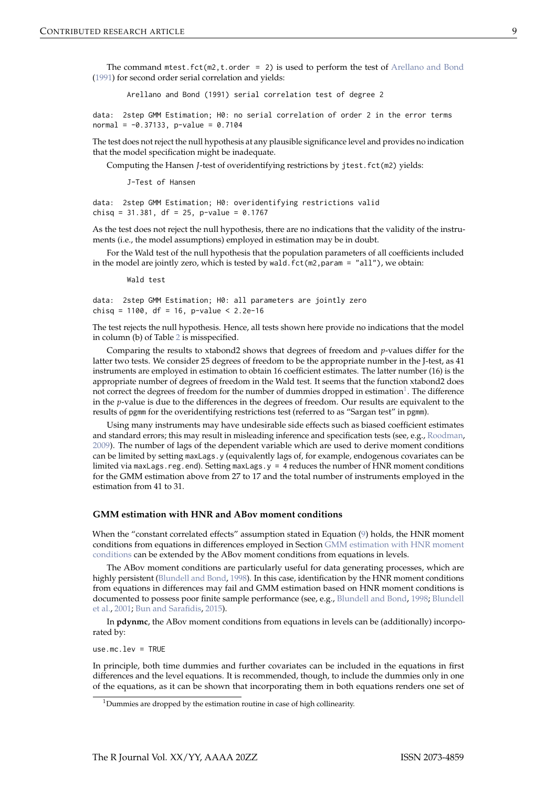<span id="page-8-0"></span>The command mtest.fct(m2,t.order = 2) is used to perform the test of [Arellano and Bond](#page-11-0) [\(1991\)](#page-11-0) for second order serial correlation and yields:

Arellano and Bond (1991) serial correlation test of degree 2

data: 2step GMM Estimation; H0: no serial correlation of order 2 in the error terms  $normal = -0.37133, p-value = 0.7104$ 

The test does not reject the null hypothesis at any plausible significance level and provides no indication that the model specification might be inadequate.

Computing the Hansen *J*-test of overidentifying restrictions by jtest.fct(m2) yields:

J-Test of Hansen

data: 2step GMM Estimation; H0: overidentifying restrictions valid chisq = 31.381, df = 25, p-value =  $0.1767$ 

As the test does not reject the null hypothesis, there are no indications that the validity of the instruments (i.e., the model assumptions) employed in estimation may be in doubt.

For the Wald test of the null hypothesis that the population parameters of all coefficients included in the model are jointly zero, which is tested by wald.  $fct(m2,param = "all")$ , we obtain:

Wald test

data: 2step GMM Estimation; H0: all parameters are jointly zero chisq = 1100, df = 16, p-value < 2.2e-16

The test rejects the null hypothesis. Hence, all tests shown here provide no indications that the model in column (b) of Table [2](#page-7-0) is misspecified.

Comparing the results to xtabond2 shows that degrees of freedom and *p*-values differ for the latter two tests. We consider 25 degrees of freedom to be the appropriate number in the J-test, as 41 instruments are employed in estimation to obtain 16 coefficient estimates. The latter number (16) is the appropriate number of degrees of freedom in the Wald test. It seems that the function xtabond2 does not correct the degrees of freedom for the number of dummies dropped in estimation $^1.$  $^1.$  $^1.$  The difference in the *p*-value is due to the differences in the degrees of freedom. Our results are equivalent to the results of pgmm for the overidentifying restrictions test (referred to as "Sargan test" in pgmm).

Using many instruments may have undesirable side effects such as biased coefficient estimates and standard errors; this may result in misleading inference and specification tests (see, e.g., [Roodman,](#page-12-18) [2009\)](#page-12-18). The number of lags of the dependent variable which are used to derive moment conditions can be limited by setting maxLags.y (equivalently lags of, for example, endogenous covariates can be limited via maxLags.reg.end). Setting maxLags.y =  $\frac{4}{1}$  reduces the number of HNR moment conditions for the GMM estimation above from 27 to 17 and the total number of instruments employed in the estimation from 41 to 31.

### **GMM estimation with HNR and ABov moment conditions**

When the "constant correlated effects" assumption stated in Equation [\(9\)](#page-2-3) holds, the HNR moment conditions from equations in differences employed in Section [GMM estimation with HNR moment](#page-6-1) [conditions](#page-6-1) can be extended by the ABov moment conditions from equations in levels.

The ABov moment conditions are particularly useful for data generating processes, which are highly persistent [\(Blundell and Bond,](#page-11-13) [1998\)](#page-11-13). In this case, identification by the HNR moment conditions from equations in differences may fail and GMM estimation based on HNR moment conditions is documented to possess poor finite sample performance (see, e.g., [Blundell and Bond,](#page-11-13) [1998;](#page-11-13) [Blundell](#page-11-9) [et al.,](#page-11-9) [2001;](#page-11-9) [Bun and Sarafidis,](#page-11-6) [2015\)](#page-11-6).

In **pdynmc**, the ABov moment conditions from equations in levels can be (additionally) incorporated by:

 $usemc.lev = TRUF$ 

In principle, both time dummies and further covariates can be included in the equations in first differences and the level equations. It is recommended, though, to include the dummies only in one of the equations, as it can be shown that incorporating them in both equations renders one set of

<sup>&</sup>lt;sup>1</sup>Dummies are dropped by the estimation routine in case of high collinearity.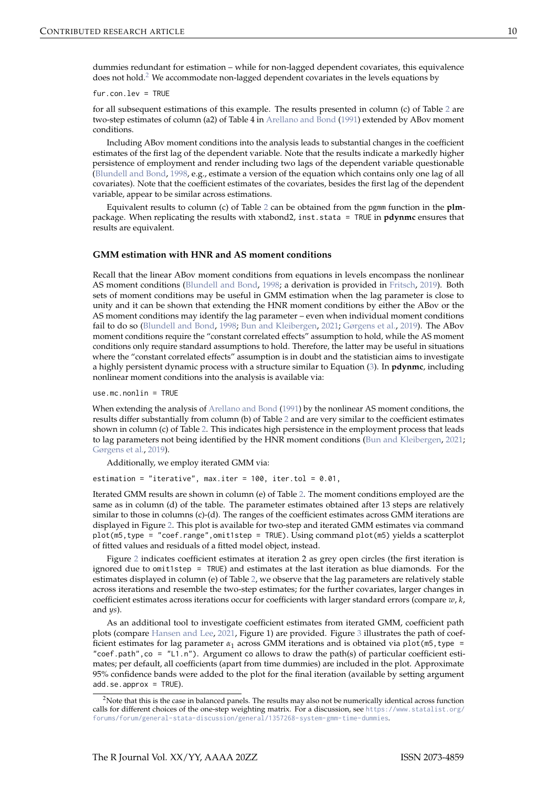<span id="page-9-0"></span>fur.con.lev = TRUE

for all subsequent estimations of this example. The results presented in column (c) of Table [2](#page-7-0) are two-step estimates of column (a2) of Table 4 in [Arellano and Bond](#page-11-0) [\(1991\)](#page-11-0) extended by ABov moment conditions.

Including ABov moment conditions into the analysis leads to substantial changes in the coefficient estimates of the first lag of the dependent variable. Note that the results indicate a markedly higher persistence of employment and render including two lags of the dependent variable questionable [\(Blundell and Bond,](#page-11-13) [1998,](#page-11-13) e.g., estimate a version of the equation which contains only one lag of all covariates). Note that the coefficient estimates of the covariates, besides the first lag of the dependent variable, appear to be similar across estimations.

Equivalent results to column (c) of Table [2](#page-7-0) can be obtained from the pgmm function in the **plm**package. When replicating the results with xtabond2, inst.stata = TRUE in **pdynmc** ensures that results are equivalent.

## **GMM estimation with HNR and AS moment conditions**

Recall that the linear ABov moment conditions from equations in levels encompass the nonlinear AS moment conditions [\(Blundell and Bond,](#page-11-13) [1998;](#page-11-13) a derivation is provided in [Fritsch,](#page-11-7) [2019\)](#page-11-7). Both sets of moment conditions may be useful in GMM estimation when the lag parameter is close to unity and it can be shown that extending the HNR moment conditions by either the ABov or the AS moment conditions may identify the lag parameter – even when individual moment conditions fail to do so [\(Blundell and Bond,](#page-11-13) [1998;](#page-11-13) [Bun and Kleibergen,](#page-11-5) [2021;](#page-11-5) [Gørgens et al.,](#page-12-7) [2019\)](#page-12-7). The ABov moment conditions require the "constant correlated effects" assumption to hold, while the AS moment conditions only require standard assumptions to hold. Therefore, the latter may be useful in situations where the "constant correlated effects" assumption is in doubt and the statistician aims to investigate a highly persistent dynamic process with a structure similar to Equation [\(3\)](#page-1-2). In **pdynmc**, including nonlinear moment conditions into the analysis is available via:

use.mc.nonlin = TRUE

When extending the analysis of [Arellano and Bond](#page-11-0) [\(1991\)](#page-11-0) by the nonlinear AS moment conditions, the results differ substantially from column (b) of Table [2](#page-7-0) and are very similar to the coefficient estimates shown in column (c) of Table [2.](#page-7-0) This indicates high persistence in the employment process that leads to lag parameters not being identified by the HNR moment conditions [\(Bun and Kleibergen,](#page-11-5) [2021;](#page-11-5) [Gørgens et al.,](#page-12-7) [2019\)](#page-12-7).

Additionally, we employ iterated GMM via:

estimation = "iterative", max.iter =  $100$ , iter.tol =  $0.01$ ,

Iterated GMM results are shown in column (e) of Table [2.](#page-7-0) The moment conditions employed are the same as in column (d) of the table. The parameter estimates obtained after 13 steps are relatively similar to those in columns (c)-(d). The ranges of the coefficient estimates across GMM iterations are displayed in Figure [2.](#page-10-1) This plot is available for two-step and iterated GMM estimates via command plot(m5,type = "coef.range",omit1step = TRUE). Using command plot(m5) yields a scatterplot of fitted values and residuals of a fitted model object, instead.

Figure [2](#page-10-1) indicates coefficient estimates at iteration 2 as grey open circles (the first iteration is ignored due to omit1step = TRUE) and estimates at the last iteration as blue diamonds. For the estimates displayed in column (e) of Table [2,](#page-7-0) we observe that the lag parameters are relatively stable across iterations and resemble the two-step estimates; for the further covariates, larger changes in coefficient estimates across iterations occur for coefficients with larger standard errors (compare *w*, *k*, and *ys*).

As an additional tool to investigate coefficient estimates from iterated GMM, coefficient path plots (compare [Hansen and Lee,](#page-12-3) [2021,](#page-12-3) Figure 1) are provided. Figure [3](#page-10-2) illustrates the path of coefficient estimates for lag parameter *α*<sup>1</sup> across GMM iterations and is obtained via plot(m5,type = "coef.path",co = "L1.n"). Argument co allows to draw the path(s) of particular coefficient estimates; per default, all coefficients (apart from time dummies) are included in the plot. Approximate 95% confidence bands were added to the plot for the final iteration (available by setting argument add.se.approx = TRUE).

<sup>&</sup>lt;sup>2</sup>Note that this is the case in balanced panels. The results may also not be numerically identical across function calls for different choices of the one-step weighting matrix. For a discussion, see [https://www.statalist.org/](https://www.statalist.org/forums/forum/general-stata-discussion/general/1357268-system-gmm-time-dummies) [forums/forum/general-stata-discussion/general/1357268-system-gmm-time-dummies](https://www.statalist.org/forums/forum/general-stata-discussion/general/1357268-system-gmm-time-dummies).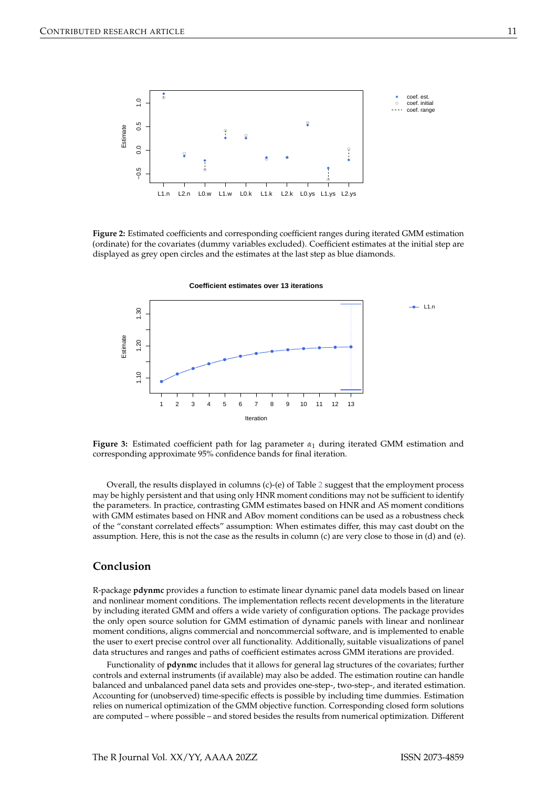<span id="page-10-1"></span>

**Figure 2:** Estimated coefficients and corresponding coefficient ranges during iterated GMM estimation (ordinate) for the covariates (dummy variables excluded). Coefficient estimates at the initial step are displayed as grey open circles and the estimates at the last step as blue diamonds.

**Coefficient estimates over 13 iterations**

<span id="page-10-2"></span>

**Figure 3:** Estimated coefficient path for lag parameter *α*<sup>1</sup> during iterated GMM estimation and corresponding approximate 95% confidence bands for final iteration.

Overall, the results displayed in columns (c)-(e) of Table [2](#page-7-0) suggest that the employment process may be highly persistent and that using only HNR moment conditions may not be sufficient to identify the parameters. In practice, contrasting GMM estimates based on HNR and AS moment conditions with GMM estimates based on HNR and ABov moment conditions can be used as a robustness check of the "constant correlated effects" assumption: When estimates differ, this may cast doubt on the assumption. Here, this is not the case as the results in column (c) are very close to those in (d) and (e).

# <span id="page-10-0"></span>**Conclusion**

R-package **pdynmc** provides a function to estimate linear dynamic panel data models based on linear and nonlinear moment conditions. The implementation reflects recent developments in the literature by including iterated GMM and offers a wide variety of configuration options. The package provides the only open source solution for GMM estimation of dynamic panels with linear and nonlinear moment conditions, aligns commercial and noncommercial software, and is implemented to enable the user to exert precise control over all functionality. Additionally, suitable visualizations of panel data structures and ranges and paths of coefficient estimates across GMM iterations are provided.

Functionality of **pdynmc** includes that it allows for general lag structures of the covariates; further controls and external instruments (if available) may also be added. The estimation routine can handle balanced and unbalanced panel data sets and provides one-step-, two-step-, and iterated estimation. Accounting for (unobserved) time-specific effects is possible by including time dummies. Estimation relies on numerical optimization of the GMM objective function. Corresponding closed form solutions are computed – where possible – and stored besides the results from numerical optimization. Different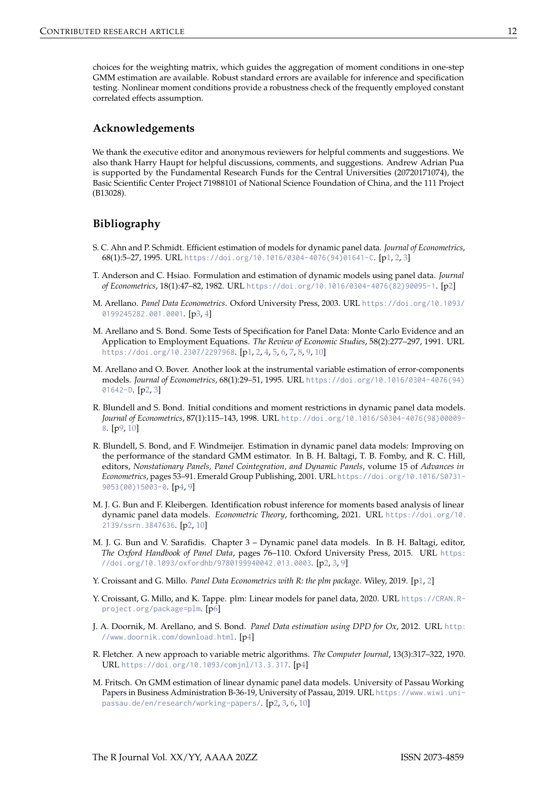choices for the weighting matrix, which guides the aggregation of moment conditions in one-step GMM estimation are available. Robust standard errors are available for inference and specification testing. Nonlinear moment conditions provide a robustness check of the frequently employed constant correlated effects assumption.

## **Acknowledgements**

We thank the executive editor and anonymous reviewers for helpful comments and suggestions. We also thank Harry Haupt for helpful discussions, comments, and suggestions. Andrew Adrian Pua is supported by the Fundamental Research Funds for the Central Universities (20720171074), the Basic Scientific Center Project 71988101 of National Science Foundation of China, and the 111 Project (B13028).

# **Bibliography**

- <span id="page-11-1"></span>S. C. Ahn and P. Schmidt. Efficient estimation of models for dynamic panel data. *Journal of Econometrics*, 68(1):5–27, 1995. URL [https://doi.org/10.1016/0304-4076\(94\)01641-C](https://doi.org/10.1016/0304-4076(94)01641-C). [[p1,](#page-0-2) [2,](#page-1-4) [3\]](#page-2-4)
- <span id="page-11-3"></span>T. Anderson and C. Hsiao. Formulation and estimation of dynamic models using panel data. *Journal of Econometrics*, 18(1):47–82, 1982. URL [https://doi.org/10.1016/0304-4076\(82\)90095-1](https://doi.org/10.1016/0304-4076(82)90095-1). [[p2\]](#page-1-4)
- <span id="page-11-8"></span>M. Arellano. *Panel Data Econometrics*. Oxford University Press, 2003. URL [https://doi.org/10.1093/](https://doi.org/10.1093/0199245282.001.0001) [0199245282.001.0001](https://doi.org/10.1093/0199245282.001.0001). [[p3,](#page-2-4) [4\]](#page-3-1)
- <span id="page-11-0"></span>M. Arellano and S. Bond. Some Tests of Specification for Panel Data: Monte Carlo Evidence and an Application to Employment Equations. *The Review of Economic Studies*, 58(2):277–297, 1991. URL <https://doi.org/10.2307/2297968>. [[p1,](#page-0-2) [2,](#page-1-4) [4,](#page-3-1) [5,](#page-4-1) [6,](#page-5-2) [7,](#page-6-2) [8,](#page-7-1) [9,](#page-8-0) [10\]](#page-9-0)
- <span id="page-11-4"></span>M. Arellano and O. Bover. Another look at the instrumental variable estimation of error-components models. *Journal of Econometrics*, 68(1):29–51, 1995. URL [https://doi.org/10.1016/0304-4076\(94\)](https://doi.org/10.1016/0304-4076(94)01642-D) [01642-D](https://doi.org/10.1016/0304-4076(94)01642-D). [[p2,](#page-1-4) [3\]](#page-2-4)
- <span id="page-11-13"></span>R. Blundell and S. Bond. Initial conditions and moment restrictions in dynamic panel data models. *Journal of Econometrics*, 87(1):115–143, 1998. URL [http://doi.org/10.1016/S0304-4076\(98\)00009-](http://doi.org/10.1016/S0304-4076(98)00009-8) [8](http://doi.org/10.1016/S0304-4076(98)00009-8). [[p9,](#page-8-0) [10\]](#page-9-0)
- <span id="page-11-9"></span>R. Blundell, S. Bond, and F. Windmeijer. Estimation in dynamic panel data models: Improving on the performance of the standard GMM estimator. In B. H. Baltagi, T. B. Fomby, and R. C. Hill, editors, *Nonstationary Panels, Panel Cointegration, and Dynamic Panels*, volume 15 of *Advances in Econometrics*, pages 53–91. Emerald Group Publishing, 2001. URL [https://doi.org/10.1016/S0731-](https://doi.org/10.1016/S0731-9053(00)15003-0) [9053\(00\)15003-0](https://doi.org/10.1016/S0731-9053(00)15003-0). [[p4,](#page-3-1) [9\]](#page-8-0)
- <span id="page-11-5"></span>M. J. G. Bun and F. Kleibergen. Identification robust inference for moments based analysis of linear dynamic panel data models. *Econometric Theory*, forthcoming, 2021. URL [https://doi.org/10.](https://doi.org/10.2139/ssrn.3847636) [2139/ssrn.3847636](https://doi.org/10.2139/ssrn.3847636). [[p2,](#page-1-4) [10\]](#page-9-0)
- <span id="page-11-6"></span>M. J. G. Bun and V. Sarafidis. Chapter 3 – Dynamic panel data models. In B. H. Baltagi, editor, *The Oxford Handbook of Panel Data*, pages 76–110. Oxford University Press, 2015. URL [https:](https://doi.org/10.1093/oxfordhb/9780199940042.013.0003) [//doi.org/10.1093/oxfordhb/9780199940042.013.0003](https://doi.org/10.1093/oxfordhb/9780199940042.013.0003). [[p2,](#page-1-4) [3,](#page-2-4) [9\]](#page-8-0)
- <span id="page-11-2"></span>Y. Croissant and G. Millo. *Panel Data Econometrics with R: the plm package*. Wiley, 2019. [[p1,](#page-0-2) [2\]](#page-1-4)
- <span id="page-11-12"></span>Y. Croissant, G. Millo, and K. Tappe. plm: Linear models for panel data, 2020. URL [https://CRAN.R](https://CRAN.R-project.org/package=plm)[project.org/package=plm](https://CRAN.R-project.org/package=plm). [[p6\]](#page-5-2)
- <span id="page-11-10"></span>J. A. Doornik, M. Arellano, and S. Bond. *Panel Data estimation using DPD for Ox*, 2012. URL [http:](http://www.doornik.com/download.html) [//www.doornik.com/download.html](http://www.doornik.com/download.html). [[p4\]](#page-3-1)
- <span id="page-11-11"></span>R. Fletcher. A new approach to variable metric algorithms. *The Computer Journal*, 13(3):317–322, 1970. URL <https://doi.org/10.1093/comjnl/13.3.317>. [[p4\]](#page-3-1)
- <span id="page-11-7"></span>M. Fritsch. On GMM estimation of linear dynamic panel data models. University of Passau Working Papers in Business Administration B-36-19, University of Passau, 2019. URL [https://www.wiwi.uni](https://www.wiwi.uni-passau.de/en/research/working-papers/)[passau.de/en/research/working-papers/](https://www.wiwi.uni-passau.de/en/research/working-papers/). [[p2,](#page-1-4) [3,](#page-2-4) [6,](#page-5-2) [10\]](#page-9-0)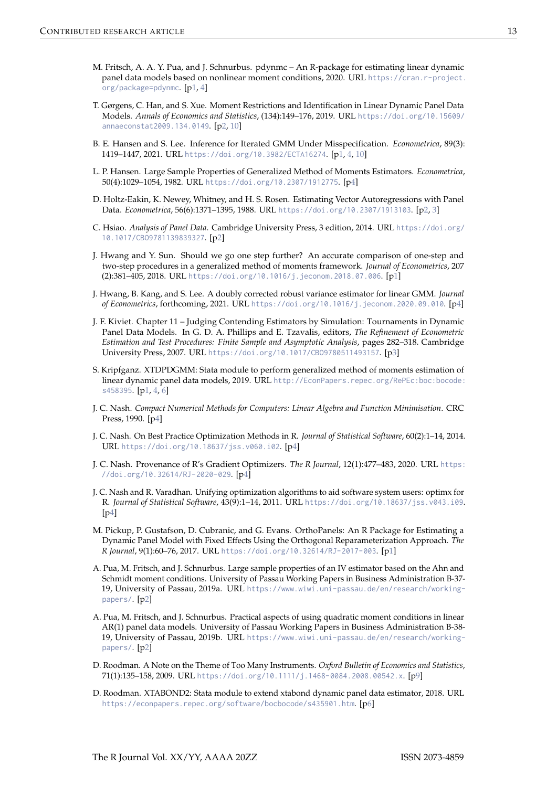- <span id="page-12-0"></span>M. Fritsch, A. A. Y. Pua, and J. Schnurbus. pdynmc – An R-package for estimating linear dynamic panel data models based on nonlinear moment conditions, 2020. URL [https://cran.r-project.](https://cran.r-project.org/package=pdynmc) [org/package=pdynmc](https://cran.r-project.org/package=pdynmc). [[p1,](#page-0-2) [4\]](#page-3-1)
- <span id="page-12-7"></span>T. Gørgens, C. Han, and S. Xue. Moment Restrictions and Identification in Linear Dynamic Panel Data Models. *Annals of Economics and Statistics*, (134):149–176, 2019. URL [https://doi.org/10.15609/](https://doi.org/10.15609/annaeconstat2009.134.0149) [annaeconstat2009.134.0149](https://doi.org/10.15609/annaeconstat2009.134.0149). [[p2,](#page-1-4) [10\]](#page-9-0)
- <span id="page-12-3"></span>B. E. Hansen and S. Lee. Inference for Iterated GMM Under Misspecification. *Econometrica*, 89(3): 1419–1447, 2021. URL <https://doi.org/10.3982/ECTA16274>. [[p1,](#page-0-2) [4,](#page-3-1) [10\]](#page-9-0)
- <span id="page-12-12"></span>L. P. Hansen. Large Sample Properties of Generalized Method of Moments Estimators. *Econometrica*, 50(4):1029–1054, 1982. URL <https://doi.org/10.2307/1912775>. [[p4\]](#page-3-1)
- <span id="page-12-6"></span>D. Holtz-Eakin, K. Newey, Whitney, and H. S. Rosen. Estimating Vector Autoregressions with Panel Data. *Econometrica*, 56(6):1371–1395, 1988. URL <https://doi.org/10.2307/1913103>. [[p2,](#page-1-4) [3\]](#page-2-4)
- <span id="page-12-5"></span>C. Hsiao. *Analysis of Panel Data*. Cambridge University Press, 3 edition, 2014. URL [https://doi.org/](https://doi.org/10.1017/CBO9781139839327) [10.1017/CBO9781139839327](https://doi.org/10.1017/CBO9781139839327). [[p2\]](#page-1-4)
- <span id="page-12-4"></span>J. Hwang and Y. Sun. Should we go one step further? An accurate comparison of one-step and two-step procedures in a generalized method of moments framework. *Journal of Econometrics*, 207 (2):381–405, 2018. URL <https://doi.org/10.1016/j.jeconom.2018.07.006>. [[p1\]](#page-0-2)
- <span id="page-12-11"></span>J. Hwang, B. Kang, and S. Lee. A doubly corrected robust variance estimator for linear GMM. *Journal of Econometrics*, forthcoming, 2021. URL <https://doi.org/10.1016/j.jeconom.2020.09.010>. [[p4\]](#page-3-1)
- <span id="page-12-10"></span>J. F. Kiviet. Chapter 11 – Judging Contending Estimators by Simulation: Tournaments in Dynamic Panel Data Models. In G. D. A. Phillips and E. Tzavalis, editors, *The Refinement of Econometric Estimation and Test Procedures: Finite Sample and Asymptotic Analysis*, pages 282–318. Cambridge University Press, 2007. URL <https://doi.org/10.1017/CBO9780511493157>. [[p3\]](#page-2-4)
- <span id="page-12-2"></span>S. Kripfganz. XTDPDGMM: Stata module to perform generalized method of moments estimation of linear dynamic panel data models, 2019. URL [http://EconPapers.repec.org/RePEc:boc:bocode:](http://EconPapers.repec.org/RePEc:boc:bocode:s458395) [s458395](http://EconPapers.repec.org/RePEc:boc:bocode:s458395). [[p1,](#page-0-2) [4,](#page-3-1) [6\]](#page-5-2)
- <span id="page-12-15"></span>J. C. Nash. *Compact Numerical Methods for Computers: Linear Algebra and Function Minimisation*. CRC Press, 1990. [[p4\]](#page-3-1)
- <span id="page-12-14"></span>J. C. Nash. On Best Practice Optimization Methods in R. *Journal of Statistical Software*, 60(2):1–14, 2014. URL <https://doi.org/10.18637/jss.v060.i02>. [[p4\]](#page-3-1)
- <span id="page-12-16"></span>J. C. Nash. Provenance of R's Gradient Optimizers. *The R Journal*, 12(1):477–483, 2020. URL [https:](https://doi.org/10.32614/RJ-2020-029) [//doi.org/10.32614/RJ-2020-029](https://doi.org/10.32614/RJ-2020-029). [[p4\]](#page-3-1)
- <span id="page-12-13"></span>J. C. Nash and R. Varadhan. Unifying optimization algorithms to aid software system users: optimx for R. *Journal of Statistical Software*, 43(9):1–14, 2011. URL <https://doi.org/10.18637/jss.v043.i09>.  $[p4]$  $[p4]$
- <span id="page-12-1"></span>M. Pickup, P. Gustafson, D. Cubranic, and G. Evans. OrthoPanels: An R Package for Estimating a Dynamic Panel Model with Fixed Effects Using the Orthogonal Reparameterization Approach. *The R Journal*, 9(1):60–76, 2017. URL <https://doi.org/10.32614/RJ-2017-003>. [[p1\]](#page-0-2)
- <span id="page-12-8"></span>A. Pua, M. Fritsch, and J. Schnurbus. Large sample properties of an IV estimator based on the Ahn and Schmidt moment conditions. University of Passau Working Papers in Business Administration B-37- 19, University of Passau, 2019a. URL [https://www.wiwi.uni-passau.de/en/research/working](https://www.wiwi.uni-passau.de/en/research/working-papers/)[papers/](https://www.wiwi.uni-passau.de/en/research/working-papers/). [[p2\]](#page-1-4)
- <span id="page-12-9"></span>A. Pua, M. Fritsch, and J. Schnurbus. Practical aspects of using quadratic moment conditions in linear AR(1) panel data models. University of Passau Working Papers in Business Administration B-38 19, University of Passau, 2019b. URL [https://www.wiwi.uni-passau.de/en/research/working](https://www.wiwi.uni-passau.de/en/research/working-papers/)[papers/](https://www.wiwi.uni-passau.de/en/research/working-papers/). [[p2\]](#page-1-4)
- <span id="page-12-18"></span>D. Roodman. A Note on the Theme of Too Many Instruments. *Oxford Bulletin of Economics and Statistics*, 71(1):135–158, 2009. URL <https://doi.org/10.1111/j.1468-0084.2008.00542.x>. [[p9\]](#page-8-0)
- <span id="page-12-17"></span>D. Roodman. XTABOND2: Stata module to extend xtabond dynamic panel data estimator, 2018. URL <https://econpapers.repec.org/software/bocbocode/s435901.htm>. [[p6\]](#page-5-2)